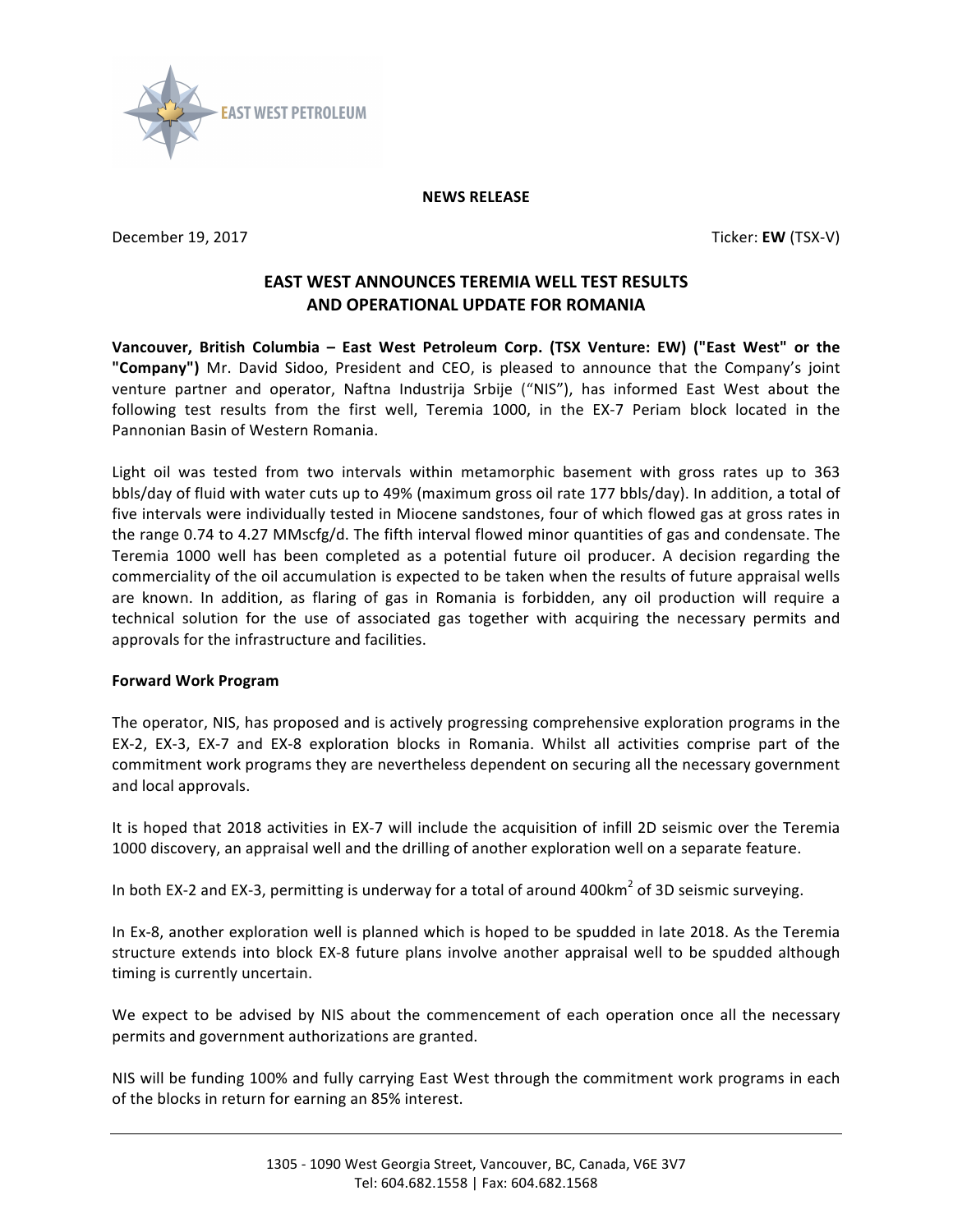

## **NEWS RELEASE**

**December 19, 2017** Ticker: **EW** (TSX-V)

## **EAST WEST ANNOUNCES TEREMIA WELL TEST RESULTS AND OPERATIONAL UPDATE FOR ROMANIA**

Vancouver, British Columbia - East West Petroleum Corp. (TSX Venture: EW) ("East West" or the "Company") Mr. David Sidoo, President and CEO, is pleased to announce that the Company's joint venture partner and operator, Naftna Industrija Srbije ("NIS"), has informed East West about the following test results from the first well, Teremia 1000, in the EX-7 Periam block located in the Pannonian Basin of Western Romania.

Light oil was tested from two intervals within metamorphic basement with gross rates up to 363 bbls/day of fluid with water cuts up to 49% (maximum gross oil rate 177 bbls/day). In addition, a total of five intervals were individually tested in Miocene sandstones, four of which flowed gas at gross rates in the range 0.74 to 4.27 MMscfg/d. The fifth interval flowed minor quantities of gas and condensate. The Teremia 1000 well has been completed as a potential future oil producer. A decision regarding the commerciality of the oil accumulation is expected to be taken when the results of future appraisal wells are known. In addition, as flaring of gas in Romania is forbidden, any oil production will require a technical solution for the use of associated gas together with acquiring the necessary permits and approvals for the infrastructure and facilities.

## **Forward Work Program**

The operator, NIS, has proposed and is actively progressing comprehensive exploration programs in the EX-2, EX-3, EX-7 and EX-8 exploration blocks in Romania. Whilst all activities comprise part of the commitment work programs they are nevertheless dependent on securing all the necessary government and local approvals.

It is hoped that 2018 activities in EX-7 will include the acquisition of infill 2D seismic over the Teremia 1000 discovery, an appraisal well and the drilling of another exploration well on a separate feature.

In both EX-2 and EX-3, permitting is underway for a total of around 400km<sup>2</sup> of 3D seismic surveying.

In Ex-8, another exploration well is planned which is hoped to be spudded in late 2018. As the Teremia structure extends into block EX-8 future plans involve another appraisal well to be spudded although timing is currently uncertain.

We expect to be advised by NIS about the commencement of each operation once all the necessary permits and government authorizations are granted.

NIS will be funding 100% and fully carrying East West through the commitment work programs in each of the blocks in return for earning an 85% interest.